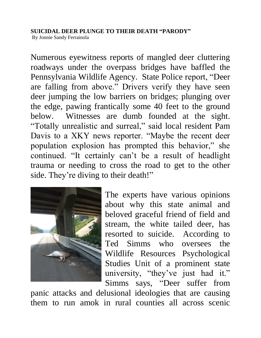## **SUICIDAL DEER PLUNGE TO THEIR DEATH "PARODY"**

By Jonnie Sandy Ferrainola

Numerous eyewitness reports of mangled deer cluttering roadways under the overpass bridges have baffled the Pennsylvania Wildlife Agency. State Police report, "Deer are falling from above." Drivers verify they have seen deer jumping the low barriers on bridges; plunging over the edge, pawing frantically some 40 feet to the ground below. Witnesses are dumb founded at the sight. "Totally unrealistic and surreal," said local resident Pam Davis to a XKY news reporter. "Maybe the recent deer population explosion has prompted this behavior," she continued. "It certainly can't be a result of headlight trauma or needing to cross the road to get to the other side. They're diving to their death!"



The experts have various opinions about why this state animal and beloved graceful friend of field and stream, the white tailed deer, has resorted to suicide. According to Ted Simms who oversees the Wildlife Resources Psychological Studies Unit of a prominent state university, "they've just had it." Simms says, "Deer suffer from

panic attacks and delusional ideologies that are causing them to run amok in rural counties all across scenic